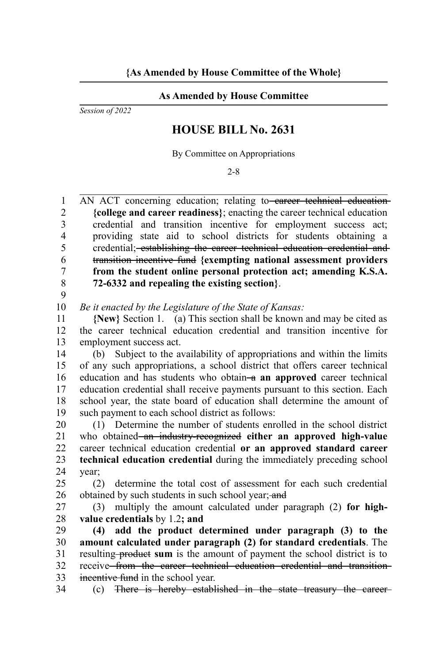## **As Amended by House Committee**

*Session of 2022*

## **HOUSE BILL No. 2631**

By Committee on Appropriations

2-8

AN ACT concerning education; relating to eareer technical education **{college and career readiness}**; enacting the career technical education credential and transition incentive for employment success act; providing state aid to school districts for students obtaining a credential; establishing the career technical education credential and transition incentive fund **{exempting national assessment providers from the student online personal protection act; amending K.S.A. 72-6332 and repealing the existing section}**. 1  $\mathfrak{D}$ 3 4 5 6 7 8

9

*Be it enacted by the Legislature of the State of Kansas:* 10

**{New}** Section 1. (a) This section shall be known and may be cited as the career technical education credential and transition incentive for employment success act. 11 12 13

(b) Subject to the availability of appropriations and within the limits of any such appropriations, a school district that offers career technical education and has students who obtain-a an approved career technical education credential shall receive payments pursuant to this section. Each school year, the state board of education shall determine the amount of such payment to each school district as follows: 14 15 16 17 18 19

(1) Determine the number of students enrolled in the school district who obtained an industry-recognized either an approved high-value career technical education credential **or an approved standard career technical education credential** during the immediately preceding school year; 20 21 22 23 24

(2) determine the total cost of assessment for each such credential obtained by such students in such school year; and 25 26

(3) multiply the amount calculated under paragraph (2) **for highvalue credentials** by 1.2**; and** 27 28

**(4) add the product determined under paragraph (3) to the amount calculated under paragraph (2) for standard credentials**. The resulting product **sum** is the amount of payment the school district is to receive<del> from the career technical education credential and transition</del> incentive fund in the school year. 29 30 31 32 33

(c) There is hereby established in the state treasury the career 34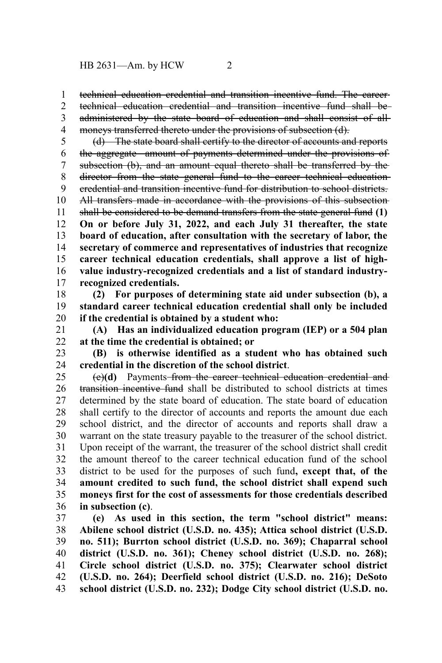technical education credential and transition incentive fund. The career technical education credential and transition incentive fund shall be administered by the state board of education and shall consist of all 1 2 3

moneys transferred thereto under the provisions of subsection (d). 4

(d) The state board shall certify to the director of accounts and reports the aggregate amount of payments determined under the provisions of subsection (b), and an amount equal thereto shall be transferred by the director from the state general fund to the career technical educationcredential and transition incentive fund for distribution to school districts. All transfers made in accordance with the provisions of this subsectionshall be considered to be demand transfers from the state general fund **(1) On or before July 31, 2022, and each July 31 thereafter, the state board of education, after consultation with the secretary of labor, the secretary of commerce and representatives of industries that recognize career technical education credentials, shall approve a list of highvalue industry-recognized credentials and a list of standard industryrecognized credentials.** 5 6 7 8 9 10 11 12 13 14 15 16 17

**(2) For purposes of determining state aid under subsection (b), a standard career technical education credential shall only be included if the credential is obtained by a student who:** 18 19 20

**(A) Has an individualized education program (IEP) or a 504 plan at the time the credential is obtained; or** 21 22

**(B) is otherwise identified as a student who has obtained such credential in the discretion of the school district**. 23 24

(e)**(d)** Payments from the career technical education credential and transition incentive fund shall be distributed to school districts at times determined by the state board of education. The state board of education shall certify to the director of accounts and reports the amount due each school district, and the director of accounts and reports shall draw a warrant on the state treasury payable to the treasurer of the school district. Upon receipt of the warrant, the treasurer of the school district shall credit the amount thereof to the career technical education fund of the school district to be used for the purposes of such fund**, except that, of the amount credited to such fund, the school district shall expend such moneys first for the cost of assessments for those credentials described in subsection (c)**. 25 26 27 28 29 30 31 32 33 34 35 36

**(e) As used in this section, the term "school district" means: Abilene school district (U.S.D. no. 435); Attica school district (U.S.D. no. 511); Burrton school district (U.S.D. no. 369); Chaparral school district (U.S.D. no. 361); Cheney school district (U.S.D. no. 268); Circle school district (U.S.D. no. 375); Clearwater school district (U.S.D. no. 264); Deerfield school district (U.S.D. no. 216); DeSoto school district (U.S.D. no. 232); Dodge City school district (U.S.D. no.** 37 38 39 40 41 42 43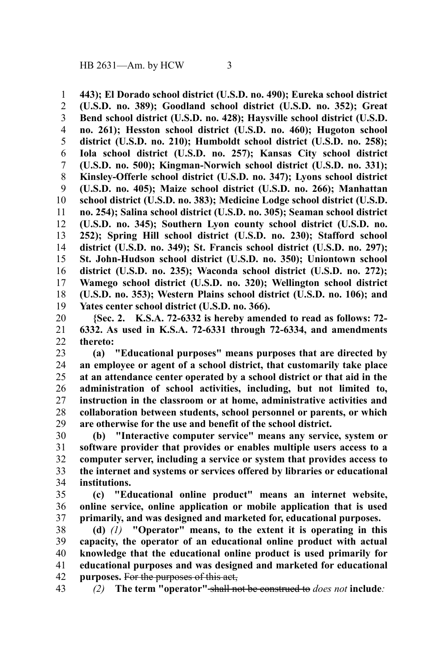**443); El Dorado school district (U.S.D. no. 490); Eureka school district (U.S.D. no. 389); Goodland school district (U.S.D. no. 352); Great Bend school district (U.S.D. no. 428); Haysville school district (U.S.D. no. 261); Hesston school district (U.S.D. no. 460); Hugoton school district (U.S.D. no. 210); Humboldt school district (U.S.D. no. 258); Iola school district (U.S.D. no. 257); Kansas City school district (U.S.D. no. 500); Kingman-Norwich school district (U.S.D. no. 331); Kinsley-Offerle school district (U.S.D. no. 347); Lyons school district (U.S.D. no. 405); Maize school district (U.S.D. no. 266); Manhattan school district (U.S.D. no. 383); Medicine Lodge school district (U.S.D. no. 254); Salina school district (U.S.D. no. 305); Seaman school district (U.S.D. no. 345); Southern Lyon county school district (U.S.D. no. 252); Spring Hill school district (U.S.D. no. 230); Stafford school district (U.S.D. no. 349); St. Francis school district (U.S.D. no. 297); St. John-Hudson school district (U.S.D. no. 350); Uniontown school district (U.S.D. no. 235); Waconda school district (U.S.D. no. 272); Wamego school district (U.S.D. no. 320); Wellington school district (U.S.D. no. 353); Western Plains school district (U.S.D. no. 106); and Yates center school district (U.S.D. no. 366).** 1 2 3 4 5 6 7 8 9 10 11 12 13 14 15 16 17 18 19

**{Sec. 2. K.S.A. 72-6332 is hereby amended to read as follows: 72- 6332. As used in K.S.A. 72-6331 through 72-6334, and amendments thereto:** 20 21 22

**(a) "Educational purposes" means purposes that are directed by an employee or agent of a school district, that customarily take place at an attendance center operated by a school district or that aid in the administration of school activities, including, but not limited to, instruction in the classroom or at home, administrative activities and collaboration between students, school personnel or parents, or which are otherwise for the use and benefit of the school district.** 23 24 25 26 27 28 29

**(b) "Interactive computer service" means any service, system or software provider that provides or enables multiple users access to a computer server, including a service or system that provides access to the internet and systems or services offered by libraries or educational institutions.** 30 31 32 33 34

**(c) "Educational online product" means an internet website, online service, online application or mobile application that is used primarily, and was designed and marketed for, educational purposes.** 35 36 37

**(d)** *(1)* **"Operator" means, to the extent it is operating in this capacity, the operator of an educational online product with actual knowledge that the educational online product is used primarily for educational purposes and was designed and marketed for educational purposes.** For the purposes of this act, 38 39 40 41 42

*(2)* **The term "operator"** shall not be construed to *does not* **include***:* 43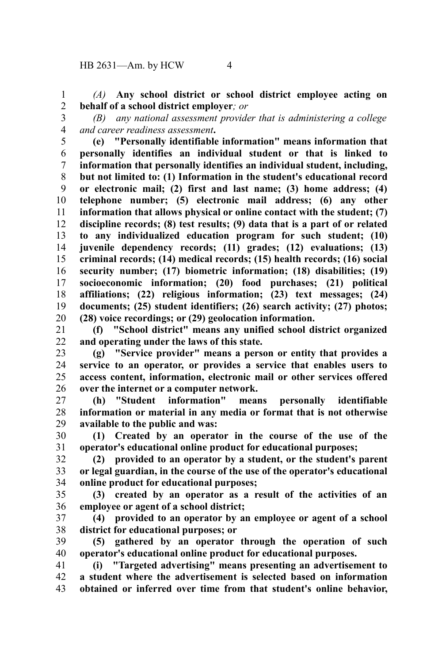*(A)* **Any school district or school district employee acting on behalf of a school district employer***; or* 1 2

3

*(B) any national assessment provider that is administering a college and career readiness assessment***.** 4

**(e) "Personally identifiable information" means information that personally identifies an individual student or that is linked to information that personally identifies an individual student, including, but not limited to: (1) Information in the student's educational record or electronic mail; (2) first and last name; (3) home address; (4) telephone number; (5) electronic mail address; (6) any other information that allows physical or online contact with the student; (7) discipline records; (8) test results; (9) data that is a part of or related to any individualized education program for such student; (10) juvenile dependency records; (11) grades; (12) evaluations; (13) criminal records; (14) medical records; (15) health records; (16) social security number; (17) biometric information; (18) disabilities; (19) socioeconomic information; (20) food purchases; (21) political affiliations; (22) religious information; (23) text messages; (24) documents; (25) student identifiers; (26) search activity; (27) photos; (28) voice recordings; or (29) geolocation information.** 5 6 7 8 9 10 11 12 13 14 15 16 17 18 19 20

**(f) "School district" means any unified school district organized and operating under the laws of this state.** 21 22

**(g) "Service provider" means a person or entity that provides a service to an operator, or provides a service that enables users to access content, information, electronic mail or other services offered over the internet or a computer network.** 23 24 25 26

**(h) "Student information" means personally identifiable information or material in any media or format that is not otherwise available to the public and was:** 27 28 29

**(1) Created by an operator in the course of the use of the operator's educational online product for educational purposes;** 30 31

**(2) provided to an operator by a student, or the student's parent or legal guardian, in the course of the use of the operator's educational online product for educational purposes;** 32 33 34

**(3) created by an operator as a result of the activities of an employee or agent of a school district;** 35 36

**(4) provided to an operator by an employee or agent of a school district for educational purposes; or** 37 38

**(5) gathered by an operator through the operation of such operator's educational online product for educational purposes.** 39 40

**(i) "Targeted advertising" means presenting an advertisement to a student where the advertisement is selected based on information obtained or inferred over time from that student's online behavior,** 41 42 43